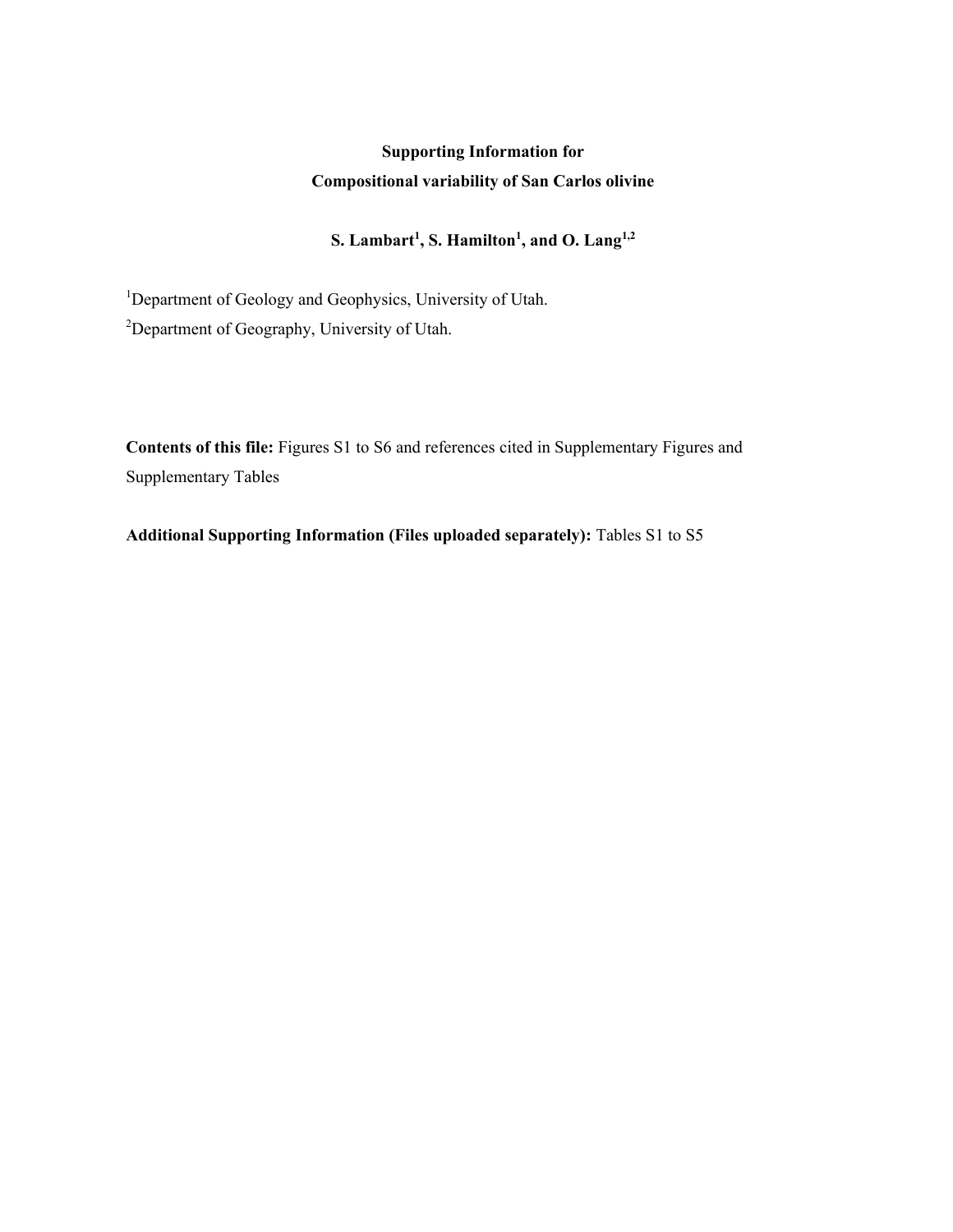## **Supporting Information for Compositional variability of San Carlos olivine**

## **S. Lambart<sup>1</sup> , S. Hamilton<sup>1</sup> , and O. Lang1,2**

<sup>1</sup>Department of Geology and Geophysics, University of Utah. <sup>2</sup>Department of Geography, University of Utah.

**Contents of this file:** Figures S1 to S6 and references cited in Supplementary Figures and Supplementary Tables

**Additional Supporting Information (Files uploaded separately):** Tables S1 to S5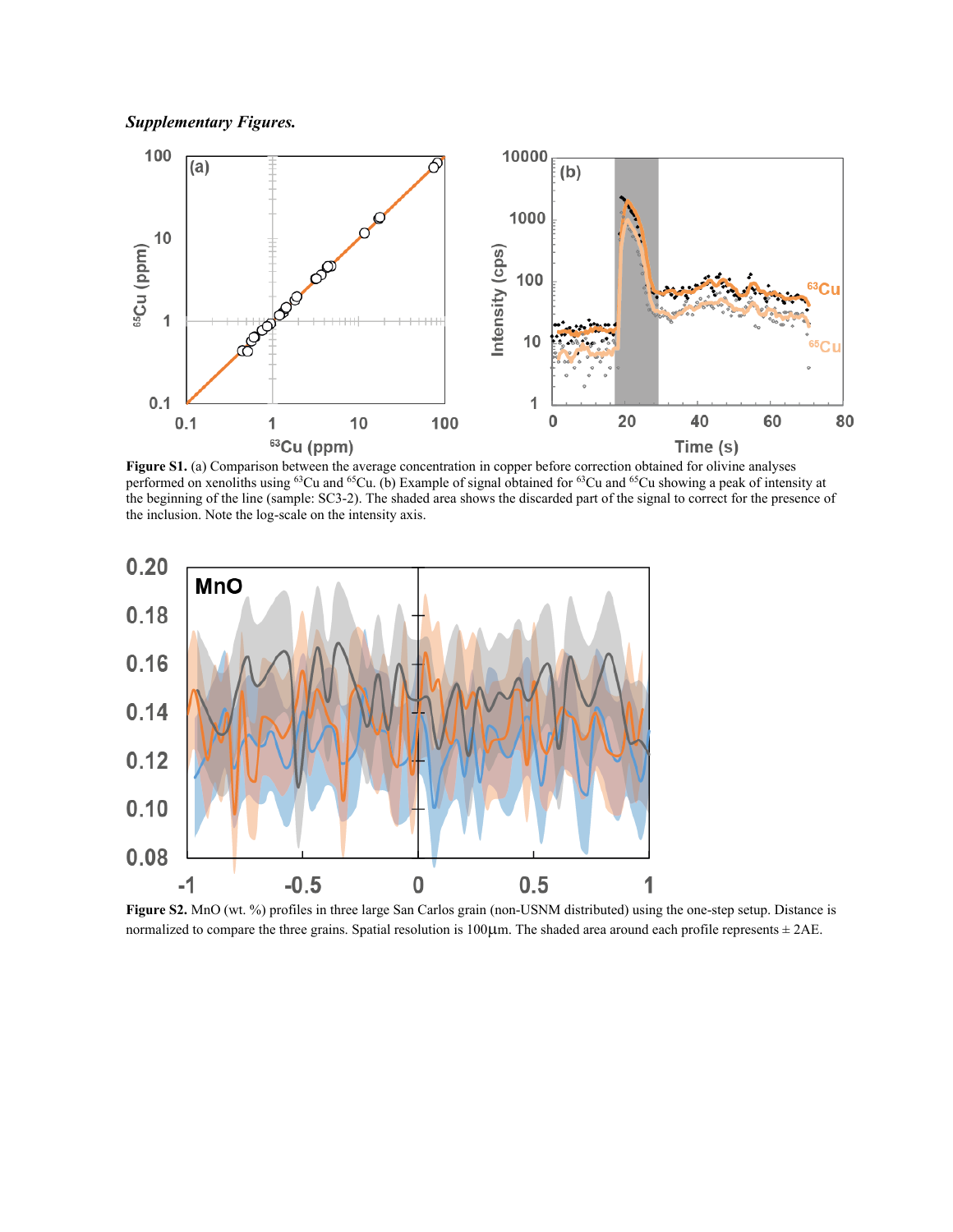*Supplementary Figures.*



**Figure S1.** (a) Comparison between the average concentration in copper before correction obtained for olivine analyses performed on xenoliths using <sup>63</sup>Cu and <sup>65</sup>Cu. (b) Example of signal obtained for <sup>63</sup>Cu and <sup>65</sup>Cu showing a peak of intensity at the beginning of the line (sample: SC3-2). The shaded area shows the discarded part of the signal to correct for the presence of the inclusion. Note the log-scale on the intensity axis.



**Figure S2.** MnO (wt. %) profiles in three large San Carlos grain (non-USNM distributed) using the one-step setup. Distance is normalized to compare the three grains. Spatial resolution is 100 $\mu$ m. The shaded area around each profile represents  $\pm$  2AE.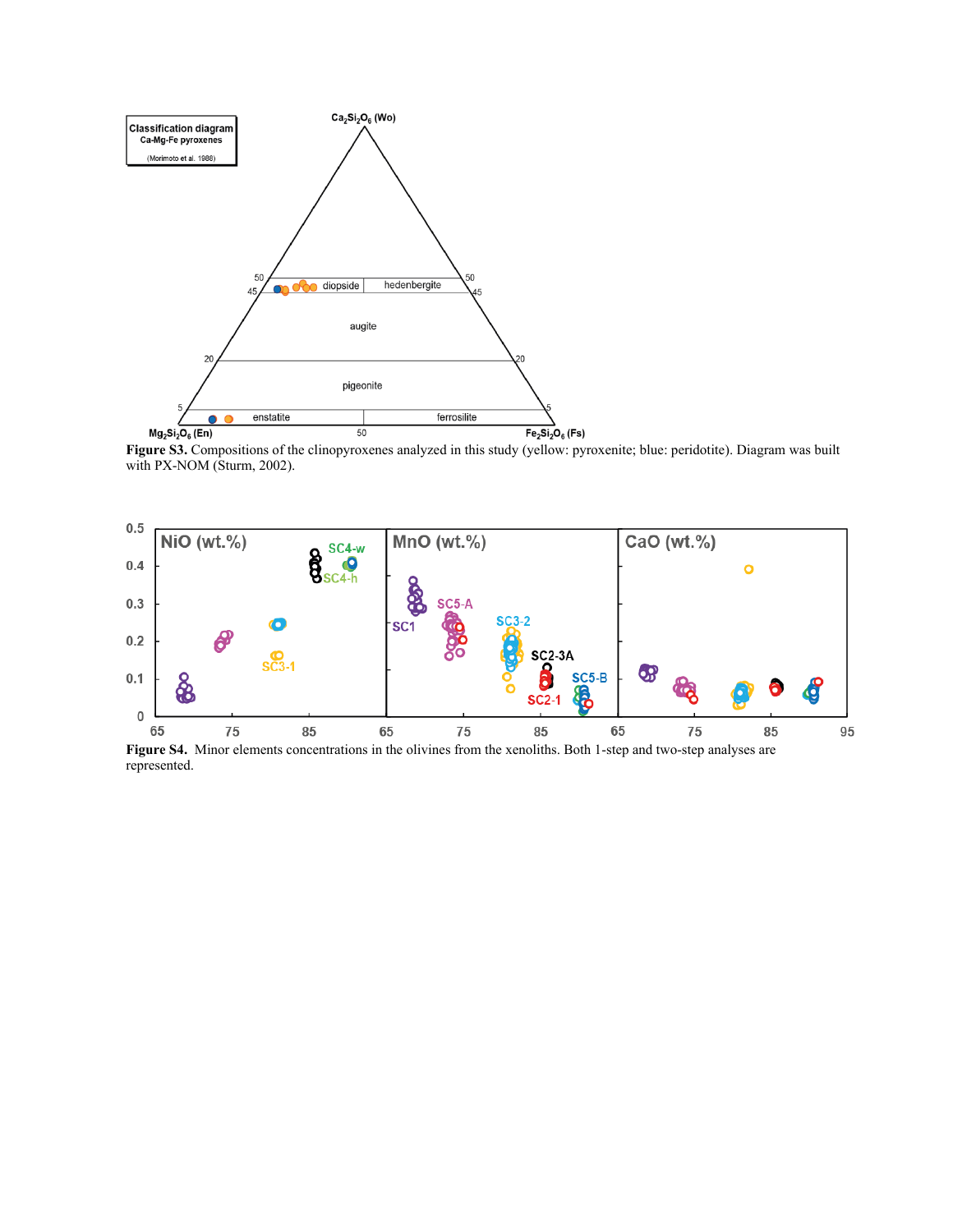

**Figure S3.** Compositions of the clinopyroxenes analyzed in this study (yellow: pyroxenite; blue: peridotite). Diagram was built with PX-NOM (Sturm, 2002).



**Figure S4.** Minor elements concentrations in the olivines from the xenoliths. Both 1-step and two-step analyses are represented.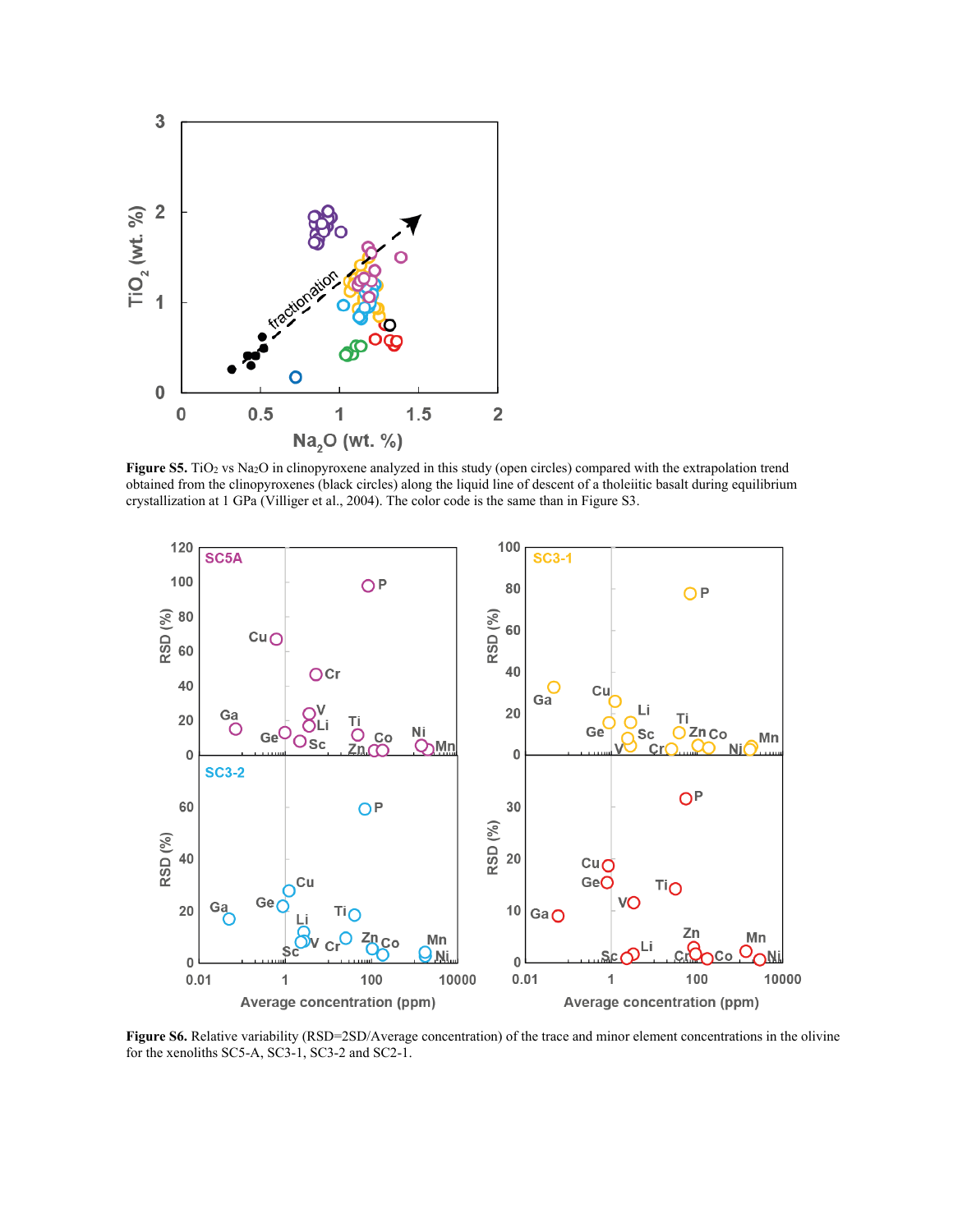

**Figure S5.** TiO<sub>2</sub> vs Na<sub>2</sub>O in clinopyroxene analyzed in this study (open circles) compared with the extrapolation trend obtained from the clinopyroxenes (black circles) along the liquid line of descent of a tholeiitic basalt during equilibrium crystallization at 1 GPa (Villiger et al., 2004). The color code is the same than in Figure S3.



Figure S6. Relative variability (RSD=2SD/Average concentration) of the trace and minor element concentrations in the olivine for the xenoliths SC5-A, SC3-1, SC3-2 and SC2-1.